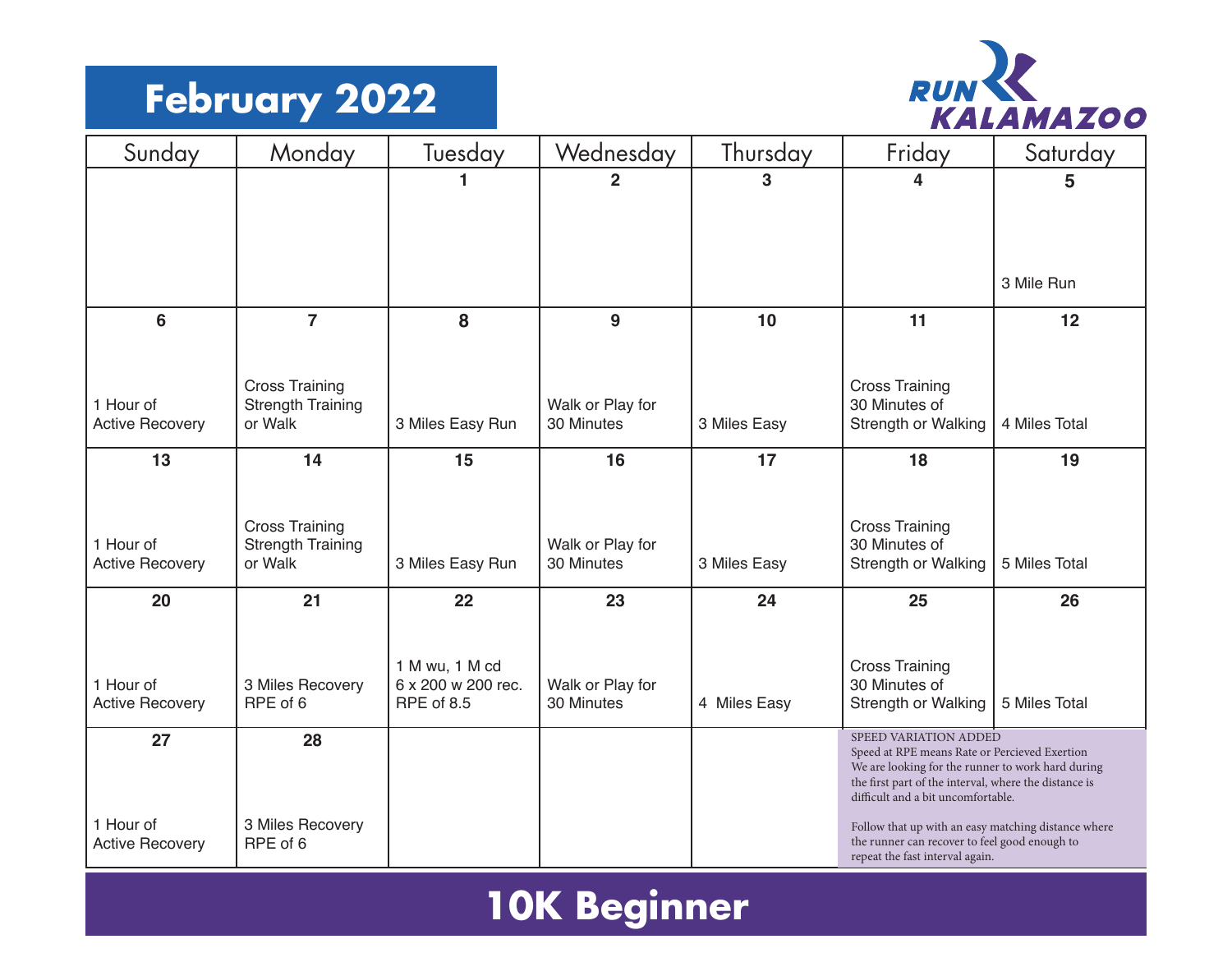#### **February 2022**



| Sunday                              | Monday                                            | Tuesday                          | Wednesday                      | Thursday     | Friday                                                                                                                                           | Saturday      |  |
|-------------------------------------|---------------------------------------------------|----------------------------------|--------------------------------|--------------|--------------------------------------------------------------------------------------------------------------------------------------------------|---------------|--|
|                                     |                                                   | 1                                | $\overline{2}$                 | 3            | 4                                                                                                                                                | 5             |  |
|                                     |                                                   |                                  |                                |              |                                                                                                                                                  |               |  |
|                                     |                                                   |                                  |                                |              |                                                                                                                                                  |               |  |
|                                     |                                                   |                                  |                                |              |                                                                                                                                                  | 3 Mile Run    |  |
| $6\phantom{a}$                      | $\overline{7}$                                    | 8                                | 9                              | 10           | 11                                                                                                                                               | 12            |  |
|                                     |                                                   |                                  |                                |              |                                                                                                                                                  |               |  |
|                                     | <b>Cross Training</b>                             |                                  |                                |              | <b>Cross Training</b>                                                                                                                            |               |  |
| 1 Hour of<br><b>Active Recovery</b> | <b>Strength Training</b><br>or Walk               | 3 Miles Easy Run                 | Walk or Play for<br>30 Minutes | 3 Miles Easy | 30 Minutes of<br>Strength or Walking                                                                                                             | 4 Miles Total |  |
| 13                                  | 14                                                | 15                               | 16                             | 17           | 18                                                                                                                                               | 19            |  |
|                                     |                                                   |                                  |                                |              |                                                                                                                                                  |               |  |
|                                     |                                                   |                                  |                                |              |                                                                                                                                                  |               |  |
| 1 Hour of                           | <b>Cross Training</b><br><b>Strength Training</b> |                                  | Walk or Play for               |              | <b>Cross Training</b><br>30 Minutes of                                                                                                           |               |  |
| <b>Active Recovery</b>              | or Walk                                           | 3 Miles Easy Run                 | 30 Minutes                     | 3 Miles Easy | Strength or Walking                                                                                                                              | 5 Miles Total |  |
| 20                                  | 21                                                | 22                               | 23                             | 24           | 25                                                                                                                                               | 26            |  |
|                                     |                                                   |                                  |                                |              |                                                                                                                                                  |               |  |
|                                     |                                                   | 1 M wu, 1 M cd                   |                                |              | <b>Cross Training</b>                                                                                                                            |               |  |
| 1 Hour of                           | 3 Miles Recovery<br>RPE of 6                      | 6 x 200 w 200 rec.<br>RPE of 8.5 | Walk or Play for<br>30 Minutes |              | 30 Minutes of                                                                                                                                    |               |  |
| <b>Active Recovery</b>              |                                                   |                                  |                                | 4 Miles Easy | Strength or Walking                                                                                                                              | 5 Miles Total |  |
| 27                                  | 28                                                |                                  |                                |              | SPEED VARIATION ADDED<br>Speed at RPE means Rate or Percieved Exertion                                                                           |               |  |
|                                     |                                                   |                                  |                                |              | We are looking for the runner to work hard during<br>the first part of the interval, where the distance is<br>difficult and a bit uncomfortable. |               |  |
| 1 Hour of<br><b>Active Recovery</b> | 3 Miles Recovery<br>RPE of 6                      |                                  |                                |              | Follow that up with an easy matching distance where<br>the runner can recover to feel good enough to<br>repeat the fast interval again.          |               |  |

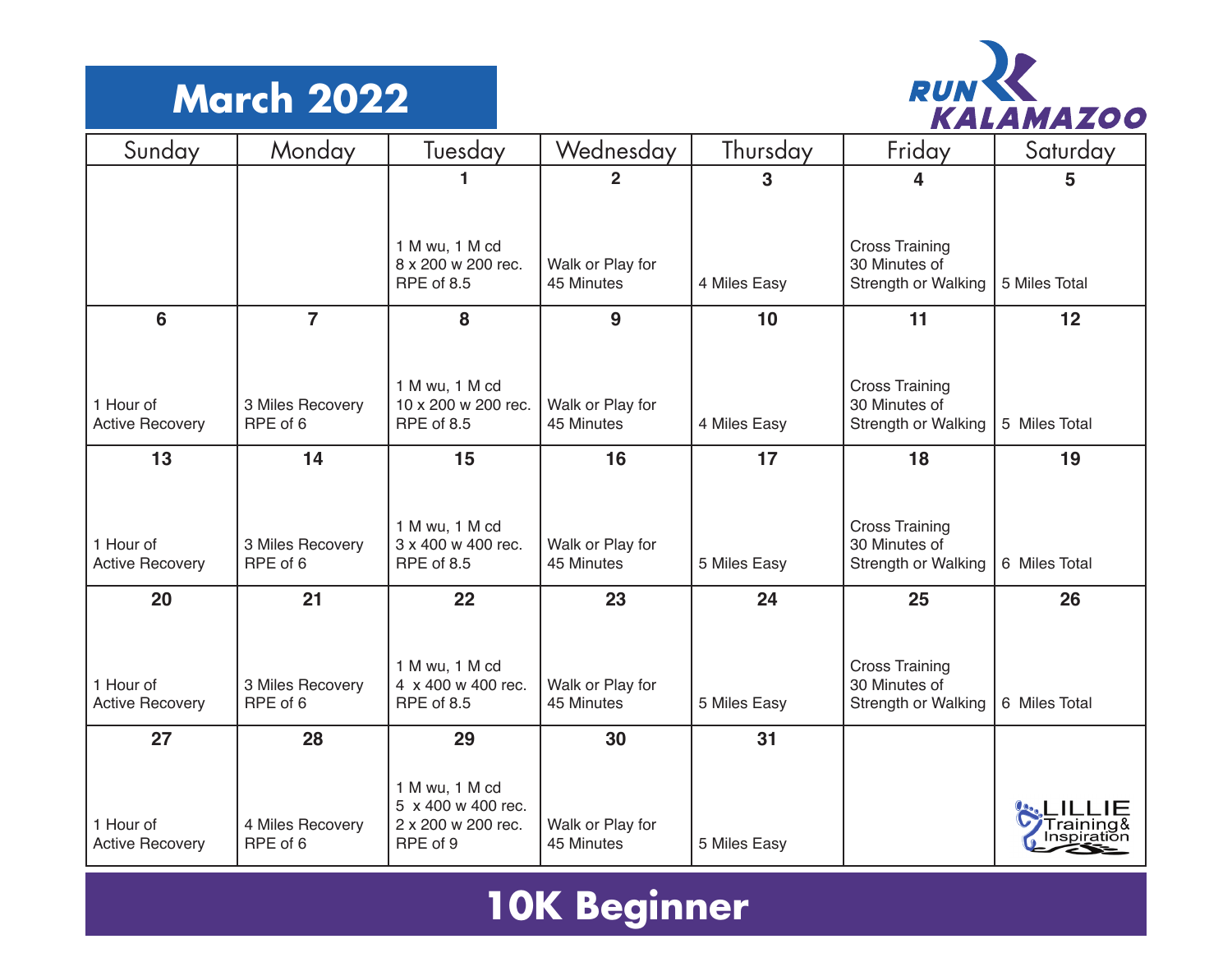#### **March 2022**



| Sunday                              | Monday                       | Tuesday                               | Wednesday                      | Thursday     | Friday                                 | Saturday      |
|-------------------------------------|------------------------------|---------------------------------------|--------------------------------|--------------|----------------------------------------|---------------|
|                                     |                              |                                       | $\overline{2}$                 | 3            | 4                                      | 5             |
|                                     |                              |                                       |                                |              |                                        |               |
|                                     |                              | 1 M wu, 1 M cd                        |                                |              | <b>Cross Training</b>                  |               |
|                                     |                              | 8 x 200 w 200 rec.<br>RPE of 8.5      | Walk or Play for<br>45 Minutes | 4 Miles Easy | 30 Minutes of<br>Strength or Walking   | 5 Miles Total |
| 6                                   | $\overline{7}$               | 8                                     | 9                              | 10           | 11                                     | 12            |
|                                     |                              |                                       |                                |              |                                        |               |
| 1 Hour of                           | 3 Miles Recovery             | 1 M wu, 1 M cd<br>10 x 200 w 200 rec. | Walk or Play for               |              | <b>Cross Training</b><br>30 Minutes of |               |
| <b>Active Recovery</b>              | RPE of 6                     | RPE of 8.5                            | 45 Minutes                     | 4 Miles Easy | Strength or Walking                    | 5 Miles Total |
| 13                                  | 14                           | 15                                    | 16                             | 17           | 18                                     | 19            |
|                                     |                              |                                       |                                |              |                                        |               |
|                                     |                              | 1 M wu, 1 M cd                        |                                |              | <b>Cross Training</b>                  |               |
| 1 Hour of<br><b>Active Recovery</b> | 3 Miles Recovery<br>RPE of 6 | 3 x 400 w 400 rec.<br>RPE of 8.5      | Walk or Play for<br>45 Minutes | 5 Miles Easy | 30 Minutes of<br>Strength or Walking   | 6 Miles Total |
| 20                                  | 21                           | 22                                    | 23                             | 24           | 25                                     | 26            |
|                                     |                              |                                       |                                |              |                                        |               |
| 1 Hour of                           | 3 Miles Recovery             | 1 M wu, 1 M cd<br>4 x 400 w 400 rec.  | Walk or Play for               |              | <b>Cross Training</b><br>30 Minutes of |               |
| <b>Active Recovery</b>              | RPE of 6                     | RPE of 8.5                            | 45 Minutes                     | 5 Miles Easy | Strength or Walking                    | 6 Miles Total |
| 27                                  | 28                           | 29                                    | 30                             | 31           |                                        |               |
|                                     |                              | 1 M wu, 1 M cd                        |                                |              |                                        |               |
|                                     |                              | 5 x 400 w 400 rec.                    |                                |              |                                        |               |
| 1 Hour of<br><b>Active Recovery</b> | 4 Miles Recovery<br>RPE of 6 | 2 x 200 w 200 rec.<br>RPE of 9        | Walk or Play for<br>45 Minutes | 5 Miles Easy |                                        |               |

## **10K Beginner**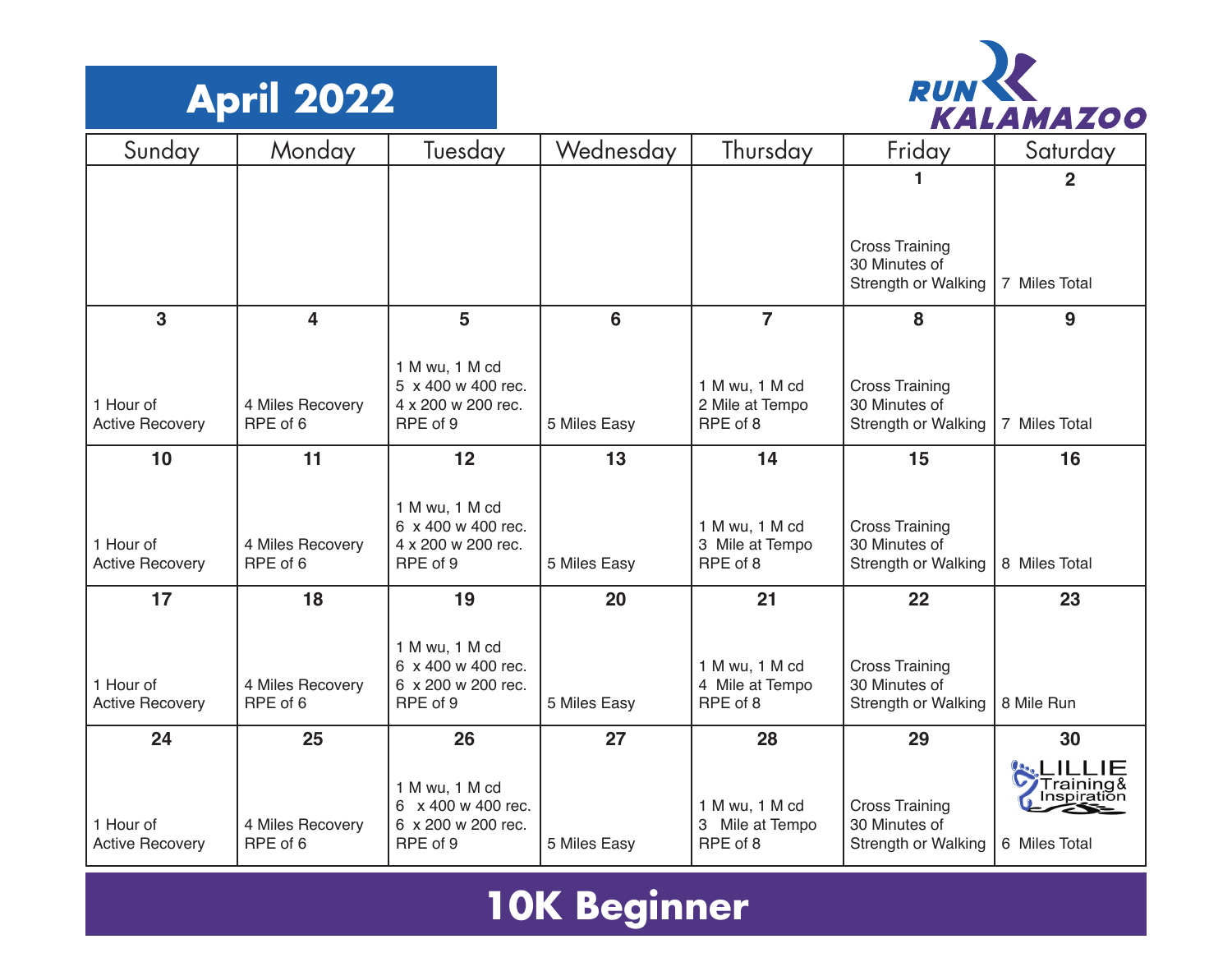



| Sunday                              | Monday                       | Tuesday                                  | Wednesday    | Thursday                             | Friday                                 | Saturday      |
|-------------------------------------|------------------------------|------------------------------------------|--------------|--------------------------------------|----------------------------------------|---------------|
|                                     |                              |                                          |              |                                      |                                        | $\mathbf 2$   |
|                                     |                              |                                          |              |                                      |                                        |               |
|                                     |                              |                                          |              |                                      | <b>Cross Training</b>                  |               |
|                                     |                              |                                          |              |                                      | 30 Minutes of<br>Strength or Walking   | 7 Miles Total |
| 3                                   | $\overline{\mathbf{4}}$      | 5                                        | 6            | $\overline{7}$                       | 8                                      | 9             |
|                                     |                              | 1 M wu, 1 M cd                           |              |                                      |                                        |               |
| 1 Hour of                           | 4 Miles Recovery             | 5 x 400 w 400 rec.<br>4 x 200 w 200 rec. |              | 1 M wu, 1 M cd<br>2 Mile at Tempo    | <b>Cross Training</b><br>30 Minutes of |               |
| <b>Active Recovery</b>              | RPE of 6                     | RPE of 9                                 | 5 Miles Easy | RPE of 8                             | Strength or Walking                    | 7 Miles Total |
| 10                                  | 11                           | 12                                       | 13           | 14                                   | 15                                     | 16            |
|                                     |                              |                                          |              |                                      |                                        |               |
|                                     |                              | 1 M wu, 1 M cd<br>6 x 400 w 400 rec.     |              | 1 M wu, 1 M cd                       | <b>Cross Training</b>                  |               |
| 1 Hour of<br><b>Active Recovery</b> | 4 Miles Recovery<br>RPE of 6 | 4 x 200 w 200 rec.<br>RPE of 9           | 5 Miles Easy | 3 Mile at Tempo<br>RPE of 8          | 30 Minutes of<br>Strength or Walking   | 8 Miles Total |
| 17                                  | 18                           | 19                                       | 20           | 21                                   | 22                                     | 23            |
|                                     |                              |                                          |              |                                      |                                        |               |
|                                     |                              | 1 M wu, 1 M cd<br>6 x 400 w 400 rec.     |              | 1 M wu, 1 M cd                       | <b>Cross Training</b>                  |               |
| 1 Hour of<br><b>Active Recovery</b> | 4 Miles Recovery<br>RPE of 6 | 6 x 200 w 200 rec.<br>RPE of 9           | 5 Miles Easy | 4 Mile at Tempo<br>RPE of 8          | 30 Minutes of<br>Strength or Walking   | 8 Mile Run    |
|                                     |                              |                                          |              |                                      |                                        |               |
| 24                                  | 25                           | 26                                       | 27           | 28                                   | 29                                     | 30            |
|                                     |                              | 1 M wu, 1 M cd                           |              |                                      |                                        | Training&     |
| 1 Hour of                           | 4 Miles Recovery             | 6 x 400 w 400 rec.<br>6 x 200 w 200 rec. |              | 1 M wu, 1 M cd<br>Mile at Tempo<br>3 | <b>Cross Training</b><br>30 Minutes of | Inspiratiŏn   |
| <b>Active Recovery</b>              | RPE of 6                     | RPE of 9                                 | 5 Miles Easy | RPE of 8                             | Strength or Walking                    | 6 Miles Total |

## **10K Beginner**